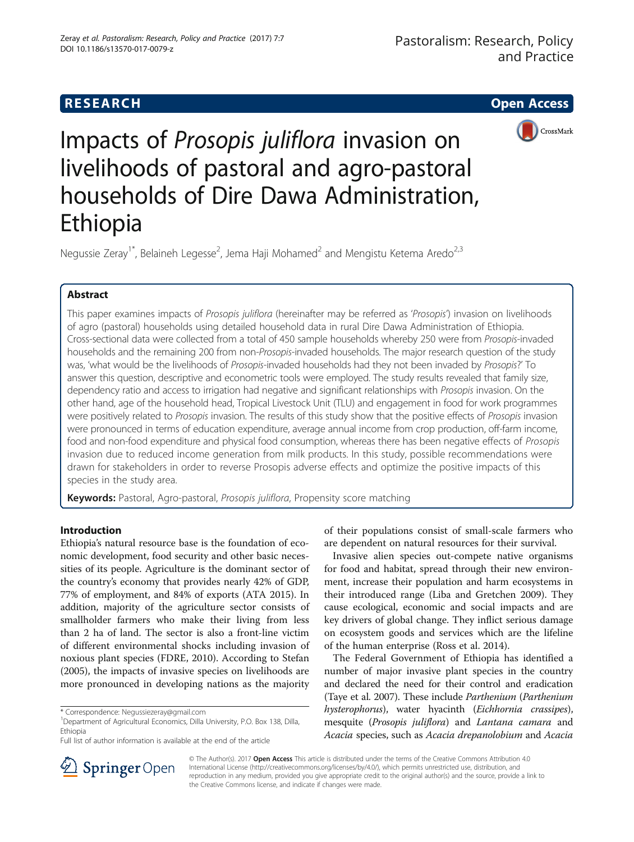# **RESEARCH CHEAR CHEAR CHEAR CHEAR CHEAR CHEAR CHEAR CHEAR CHEAR CHEAR CHEAR CHEAR CHEAR CHEAR CHEAR CHEAR CHEAR**



Impacts of Prosopis juliflora invasion on livelihoods of pastoral and agro-pastoral households of Dire Dawa Administration, Ethiopia

Negussie Zeray<sup>1\*</sup>, Belaineh Legesse<sup>2</sup>, Jema Haji Mohamed<sup>2</sup> and Mengistu Ketema Aredo<sup>2,3</sup>

## Abstract

This paper examines impacts of Prosopis juliflora (hereinafter may be referred as 'Prosopis') invasion on livelihoods of agro (pastoral) households using detailed household data in rural Dire Dawa Administration of Ethiopia. Cross-sectional data were collected from a total of 450 sample households whereby 250 were from Prosopis-invaded households and the remaining 200 from non-Prosopis-invaded households. The major research question of the study was, 'what would be the livelihoods of Prosopis-invaded households had they not been invaded by Prosopis?' To answer this question, descriptive and econometric tools were employed. The study results revealed that family size, dependency ratio and access to irrigation had negative and significant relationships with Prosopis invasion. On the other hand, age of the household head, Tropical Livestock Unit (TLU) and engagement in food for work programmes were positively related to Prosopis invasion. The results of this study show that the positive effects of Prosopis invasion were pronounced in terms of education expenditure, average annual income from crop production, off-farm income, food and non-food expenditure and physical food consumption, whereas there has been negative effects of Prosopis invasion due to reduced income generation from milk products. In this study, possible recommendations were drawn for stakeholders in order to reverse Prosopis adverse effects and optimize the positive impacts of this species in the study area.

Keywords: Pastoral, Agro-pastoral, Prosopis juliflora, Propensity score matching

## Introduction

Ethiopia's natural resource base is the foundation of economic development, food security and other basic necessities of its people. Agriculture is the dominant sector of the country's economy that provides nearly 42% of GDP, 77% of employment, and 84% of exports (ATA [2015](#page-12-0)). In addition, majority of the agriculture sector consists of smallholder farmers who make their living from less than 2 ha of land. The sector is also a front-line victim of different environmental shocks including invasion of noxious plant species (FDRE, [2010\)](#page-13-0). According to Stefan ([2005](#page-13-0)), the impacts of invasive species on livelihoods are more pronounced in developing nations as the majority

of their populations consist of small-scale farmers who are dependent on natural resources for their survival.

Invasive alien species out-compete native organisms for food and habitat, spread through their new environment, increase their population and harm ecosystems in their introduced range (Liba and Gretchen [2009\)](#page-13-0). They cause ecological, economic and social impacts and are key drivers of global change. They inflict serious damage on ecosystem goods and services which are the lifeline of the human enterprise (Ross et al. [2014\)](#page-13-0).

The Federal Government of Ethiopia has identified a number of major invasive plant species in the country and declared the need for their control and eradication (Taye et al. [2007\)](#page-13-0). These include Parthenium (Parthenium hysterophorus), water hyacinth (Eichhornia crassipes), mesquite (Prosopis juliflora) and Lantana camara and Acacia species, such as Acacia drepanolobium and Acacia



© The Author(s). 2017 Open Access This article is distributed under the terms of the Creative Commons Attribution 4.0 International License ([http://creativecommons.org/licenses/by/4.0/\)](http://creativecommons.org/licenses/by/4.0/), which permits unrestricted use, distribution, and reproduction in any medium, provided you give appropriate credit to the original author(s) and the source, provide a link to the Creative Commons license, and indicate if changes were made.

<sup>\*</sup> Correspondence: [Negussiezeray@gmail.com](mailto:Negussiezeray@gmail.com) <sup>1</sup>

Department of Agricultural Economics, Dilla University, P.O. Box 138, Dilla, Ethiopia

Full list of author information is available at the end of the article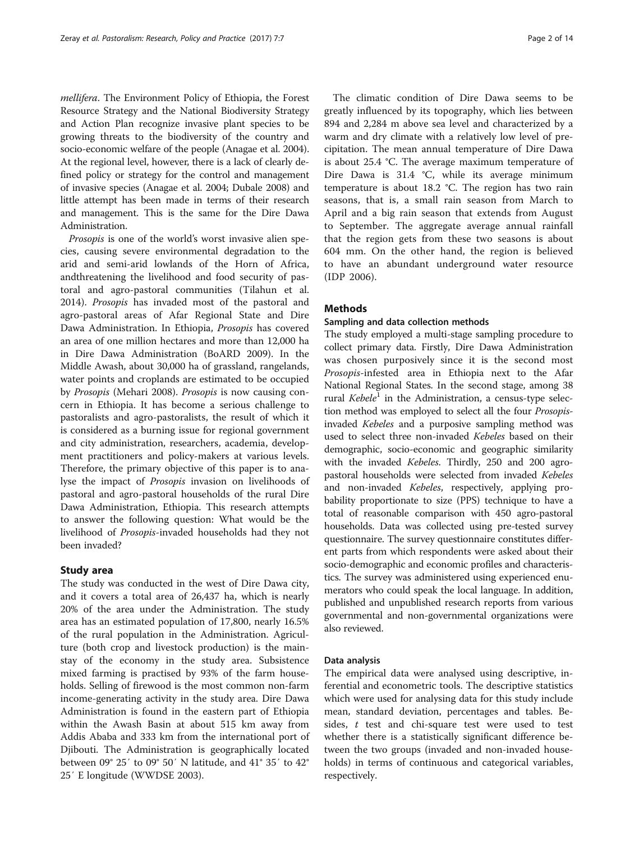mellifera. The Environment Policy of Ethiopia, the Forest Resource Strategy and the National Biodiversity Strategy and Action Plan recognize invasive plant species to be growing threats to the biodiversity of the country and socio-economic welfare of the people (Anagae et al. [2004](#page-12-0)). At the regional level, however, there is a lack of clearly defined policy or strategy for the control and management of invasive species (Anagae et al. [2004;](#page-12-0) Dubale [2008](#page-13-0)) and little attempt has been made in terms of their research and management. This is the same for the Dire Dawa Administration.

Prosopis is one of the world's worst invasive alien species, causing severe environmental degradation to the arid and semi-arid lowlands of the Horn of Africa, andthreatening the livelihood and food security of pastoral and agro-pastoral communities (Tilahun et al. [2014](#page-13-0)). Prosopis has invaded most of the pastoral and agro-pastoral areas of Afar Regional State and Dire Dawa Administration. In Ethiopia, Prosopis has covered an area of one million hectares and more than 12,000 ha in Dire Dawa Administration (BoARD [2009\)](#page-12-0). In the Middle Awash, about 30,000 ha of grassland, rangelands, water points and croplands are estimated to be occupied by Prosopis (Mehari [2008\)](#page-13-0). Prosopis is now causing concern in Ethiopia. It has become a serious challenge to pastoralists and agro-pastoralists, the result of which it is considered as a burning issue for regional government and city administration, researchers, academia, development practitioners and policy-makers at various levels. Therefore, the primary objective of this paper is to analyse the impact of Prosopis invasion on livelihoods of pastoral and agro-pastoral households of the rural Dire Dawa Administration, Ethiopia. This research attempts to answer the following question: What would be the livelihood of Prosopis-invaded households had they not been invaded?

## Study area

The study was conducted in the west of Dire Dawa city, and it covers a total area of 26,437 ha, which is nearly 20% of the area under the Administration. The study area has an estimated population of 17,800, nearly 16.5% of the rural population in the Administration. Agriculture (both crop and livestock production) is the mainstay of the economy in the study area. Subsistence mixed farming is practised by 93% of the farm households. Selling of firewood is the most common non-farm income-generating activity in the study area. Dire Dawa Administration is found in the eastern part of Ethiopia within the Awash Basin at about 515 km away from Addis Ababa and 333 km from the international port of Djibouti. The Administration is geographically located between 09° 25′ to 09° 50′ N latitude, and 41° 35′ to 42° 25′ E longitude (WWDSE [2003](#page-13-0)).

The climatic condition of Dire Dawa seems to be greatly influenced by its topography, which lies between 894 and 2,284 m above sea level and characterized by a warm and dry climate with a relatively low level of precipitation. The mean annual temperature of Dire Dawa is about 25.4 °C. The average maximum temperature of Dire Dawa is 31.4 °C, while its average minimum temperature is about 18.2 °C. The region has two rain seasons, that is, a small rain season from March to April and a big rain season that extends from August to September. The aggregate average annual rainfall that the region gets from these two seasons is about 604 mm. On the other hand, the region is believed to have an abundant underground water resource (IDP [2006\)](#page-13-0).

## **Methods**

### Sampling and data collection methods

The study employed a multi-stage sampling procedure to collect primary data. Firstly, Dire Dawa Administration was chosen purposively since it is the second most Prosopis-infested area in Ethiopia next to the Afar National Regional States. In the second stage, among 38 rural Kebele<sup>1</sup> in the Administration, a census-type selection method was employed to select all the four Prosopisinvaded Kebeles and a purposive sampling method was used to select three non-invaded Kebeles based on their demographic, socio-economic and geographic similarity with the invaded Kebeles. Thirdly, 250 and 200 agropastoral households were selected from invaded Kebeles and non-invaded Kebeles, respectively, applying probability proportionate to size (PPS) technique to have a total of reasonable comparison with 450 agro-pastoral households. Data was collected using pre-tested survey questionnaire. The survey questionnaire constitutes different parts from which respondents were asked about their socio-demographic and economic profiles and characteristics. The survey was administered using experienced enumerators who could speak the local language. In addition, published and unpublished research reports from various governmental and non-governmental organizations were also reviewed.

#### Data analysis

The empirical data were analysed using descriptive, inferential and econometric tools. The descriptive statistics which were used for analysing data for this study include mean, standard deviation, percentages and tables. Besides, t test and chi-square test were used to test whether there is a statistically significant difference between the two groups (invaded and non-invaded households) in terms of continuous and categorical variables, respectively.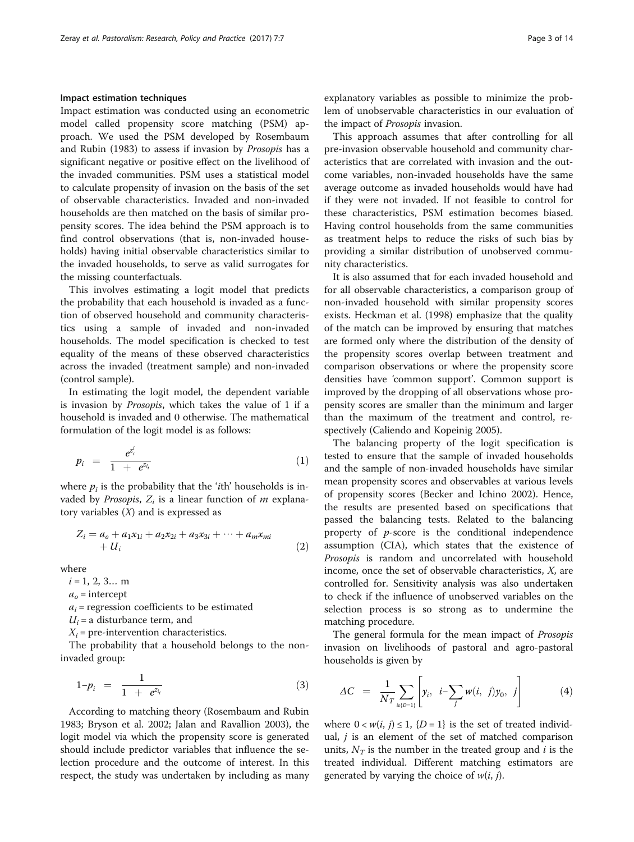### Impact estimation techniques

Impact estimation was conducted using an econometric model called propensity score matching (PSM) approach. We used the PSM developed by Rosembaum and Rubin ([1983](#page-13-0)) to assess if invasion by Prosopis has a significant negative or positive effect on the livelihood of the invaded communities. PSM uses a statistical model to calculate propensity of invasion on the basis of the set of observable characteristics. Invaded and non-invaded households are then matched on the basis of similar propensity scores. The idea behind the PSM approach is to find control observations (that is, non-invaded households) having initial observable characteristics similar to the invaded households, to serve as valid surrogates for the missing counterfactuals.

This involves estimating a logit model that predicts the probability that each household is invaded as a function of observed household and community characteristics using a sample of invaded and non-invaded households. The model specification is checked to test equality of the means of these observed characteristics across the invaded (treatment sample) and non-invaded (control sample).

In estimating the logit model, the dependent variable is invasion by Prosopis, which takes the value of 1 if a household is invaded and 0 otherwise. The mathematical formulation of the logit model is as follows:

$$
p_i = \frac{e^{z_i^i}}{1 + e^{z_{i_i}}} \tag{1}
$$

where  $p_i$  is the probability that the '*i*th' households is invaded by *Prosopis*,  $Z_i$  is a linear function of *m* explanatory variables  $(X)$  and is expressed as

$$
Z_i = a_o + a_1 x_{1i} + a_2 x_{2i} + a_3 x_{3i} + \dots + a_m x_{mi}
$$
  
+  $U_i$  (2)

where

 $i = 1, 2, 3...$  m

 $a<sub>o</sub>$  = intercept

 $a_i$  = regression coefficients to be estimated

 $U_i$  = a disturbance term, and

 $X_i$  = pre-intervention characteristics.

The probability that a household belongs to the noninvaded group:

$$
1 - p_i = \frac{1}{1 + e^{z_{i_i}}}
$$
 (3)

According to matching theory (Rosembaum and Rubin [1983](#page-13-0); Bryson et al. [2002;](#page-12-0) Jalan and Ravallion [2003](#page-13-0)), the logit model via which the propensity score is generated should include predictor variables that influence the selection procedure and the outcome of interest. In this respect, the study was undertaken by including as many

explanatory variables as possible to minimize the problem of unobservable characteristics in our evaluation of the impact of Prosopis invasion.

This approach assumes that after controlling for all pre-invasion observable household and community characteristics that are correlated with invasion and the outcome variables, non-invaded households have the same average outcome as invaded households would have had if they were not invaded. If not feasible to control for these characteristics, PSM estimation becomes biased. Having control households from the same communities as treatment helps to reduce the risks of such bias by providing a similar distribution of unobserved community characteristics.

It is also assumed that for each invaded household and for all observable characteristics, a comparison group of non-invaded household with similar propensity scores exists. Heckman et al. ([1998](#page-13-0)) emphasize that the quality of the match can be improved by ensuring that matches are formed only where the distribution of the density of the propensity scores overlap between treatment and comparison observations or where the propensity score densities have 'common support'. Common support is improved by the dropping of all observations whose propensity scores are smaller than the minimum and larger than the maximum of the treatment and control, respectively (Caliendo and Kopeinig [2005\)](#page-13-0).

The balancing property of the logit specification is tested to ensure that the sample of invaded households and the sample of non-invaded households have similar mean propensity scores and observables at various levels of propensity scores (Becker and Ichino [2002](#page-12-0)). Hence, the results are presented based on specifications that passed the balancing tests. Related to the balancing property of p-score is the conditional independence assumption (CIA), which states that the existence of Prosopis is random and uncorrelated with household income, once the set of observable characteristics, X, are controlled for. Sensitivity analysis was also undertaken to check if the influence of unobserved variables on the selection process is so strong as to undermine the matching procedure.

The general formula for the mean impact of Prosopis invasion on livelihoods of pastoral and agro-pastoral households is given by

$$
\Delta C = \frac{1}{N_T} \sum_{i \in [D-1]} \left[ y_i, \ i - \sum_j w(i, j) y_0, \ j \right] \tag{4}
$$

where  $0 < w(i, j) \leq 1$ ,  $\{D = 1\}$  is the set of treated individual,  $j$  is an element of the set of matched comparison units,  $N_T$  is the number in the treated group and *i* is the treated individual. Different matching estimators are generated by varying the choice of  $w(i, j)$ .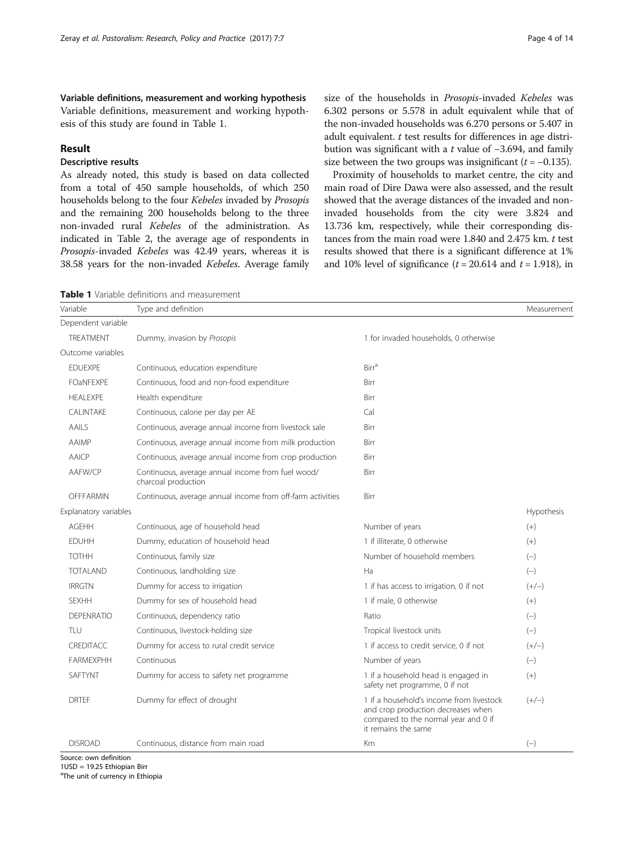Variable definitions, measurement and working hypothesis Variable definitions, measurement and working hypothesis of this study are found in Table 1.

## Result

## Descriptive results

As already noted, this study is based on data collected from a total of 450 sample households, of which 250 households belong to the four Kebeles invaded by Prosopis and the remaining 200 households belong to the three non-invaded rural Kebeles of the administration. As indicated in Table [2](#page-4-0), the average age of respondents in Prosopis-invaded Kebeles was 42.49 years, whereas it is 38.58 years for the non-invaded Kebeles. Average family

Table 1 Variable definitions and measurement

size of the households in Prosopis-invaded Kebeles was 6.302 persons or 5.578 in adult equivalent while that of the non-invaded households was 6.270 persons or 5.407 in adult equivalent.  $t$  test results for differences in age distribution was significant with a  $t$  value of  $-3.694$ , and family size between the two groups was insignificant ( $t = -0.135$ ).

Proximity of households to market centre, the city and main road of Dire Dawa were also assessed, and the result showed that the average distances of the invaded and noninvaded households from the city were 3.824 and 13.736 km, respectively, while their corresponding distances from the main road were 1.840 and 2.475 km. t test results showed that there is a significant difference at 1% and 10% level of significance  $(t = 20.614$  and  $t = 1.918)$ , in

| Variable              | Type and definition                                                      |                                                                                                                                               | Measurement |
|-----------------------|--------------------------------------------------------------------------|-----------------------------------------------------------------------------------------------------------------------------------------------|-------------|
| Dependent variable    |                                                                          |                                                                                                                                               |             |
| <b>TREATMENT</b>      | Dummy, invasion by Prosopis                                              | 1 for invaded households, 0 otherwise                                                                                                         |             |
| Outcome variables     |                                                                          |                                                                                                                                               |             |
| <b>FDUFXPF</b>        | Continuous, education expenditure                                        | <b>Birr<sup>a</sup></b>                                                                                                                       |             |
| FOaNFEXPE             | Continuous, food and non-food expenditure                                | Birr                                                                                                                                          |             |
| <b>HEALEXPE</b>       | Health expenditure                                                       | Birr                                                                                                                                          |             |
| CALINTAKE             | Continuous, calorie per day per AE                                       | Cal                                                                                                                                           |             |
| AAILS                 | Continuous, average annual income from livestock sale                    | Birr                                                                                                                                          |             |
| AAIMP                 | Continuous, average annual income from milk production                   | Birr                                                                                                                                          |             |
| AAICP                 | Continuous, average annual income from crop production                   | Birr                                                                                                                                          |             |
| AAFW/CP               | Continuous, average annual income from fuel wood/<br>charcoal production | Birr                                                                                                                                          |             |
| <b>OFFFARMIN</b>      | Continuous, average annual income from off-farm activities               | Birr                                                                                                                                          |             |
| Explanatory variables |                                                                          |                                                                                                                                               | Hypothesis  |
| <b>AGEHH</b>          | Continuous, age of household head                                        | Number of years                                                                                                                               | $(+)$       |
| <b>EDUHH</b>          | Dummy, education of household head                                       | 1 if illiterate, 0 otherwise                                                                                                                  | $(+)$       |
| <b>TOTHH</b>          | Continuous, family size                                                  | Number of household members                                                                                                                   | $(-)$       |
| <b>TOTALAND</b>       | Continuous, landholding size                                             | Ha                                                                                                                                            | $(-)$       |
| <b>IRRGTN</b>         | Dummy for access to irrigation                                           | 1 if has access to irrigation, 0 if not                                                                                                       | $(+/-)$     |
| <b>SEXHH</b>          | Dummy for sex of household head                                          | 1 if male, 0 otherwise                                                                                                                        | $(+)$       |
| <b>DEPENRATIO</b>     | Continuous, dependency ratio                                             | Ratio                                                                                                                                         | $(-)$       |
| <b>TLU</b>            | Continuous, livestock-holding size                                       | Tropical livestock units                                                                                                                      | $(-)$       |
| CREDITACC             | Dummy for access to rural credit service                                 | 1 if access to credit service, 0 if not                                                                                                       | $(+/-)$     |
| <b>FARMEXPHH</b>      | Continuous                                                               | Number of years                                                                                                                               | $(-)$       |
| SAFTYNT               | Dummy for access to safety net programme                                 | 1 if a household head is engaged in<br>safety net programme, 0 if not                                                                         | $(+)$       |
| <b>DRTEF</b>          | Dummy for effect of drought                                              | 1 if a household's income from livestock<br>and crop production decreases when<br>compared to the normal year and 0 if<br>it remains the same | $(+/-)$     |
| <b>DISROAD</b>        | Continuous, distance from main road                                      | Кm                                                                                                                                            | $(-)$       |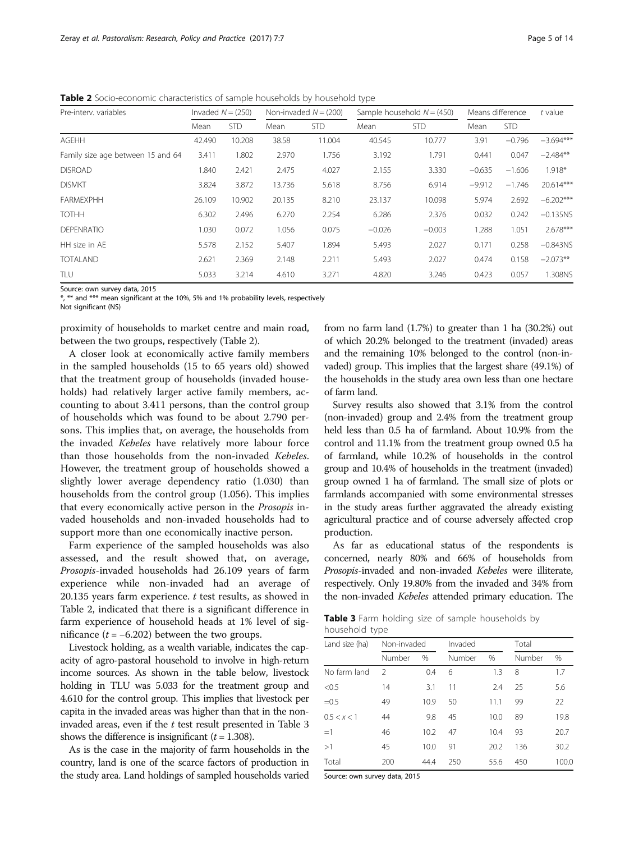<span id="page-4-0"></span>Table 2 Socio-economic characteristics of sample households by household type

| Pre-intery, variables             | Invaded $N = (250)$ |            | Non-invaded $N = (200)$ |            | Sample household $N = (450)$ |            | Means difference |            | $t$ value   |
|-----------------------------------|---------------------|------------|-------------------------|------------|------------------------------|------------|------------------|------------|-------------|
|                                   | Mean                | <b>STD</b> | Mean                    | <b>STD</b> | Mean                         | <b>STD</b> | Mean             | <b>STD</b> |             |
| <b>AGEHH</b>                      | 42.490              | 10.208     | 38.58                   | 11.004     | 40.545                       | 10.777     | 3.91             | $-0.796$   | $-3.694***$ |
| Family size age between 15 and 64 | 3.411               | 1.802      | 2.970                   | 1.756      | 3.192                        | 1.791      | 0.441            | 0.047      | $-2.484**$  |
| <b>DISROAD</b>                    | 1.840               | 2.421      | 2.475                   | 4.027      | 2.155                        | 3.330      | $-0.635$         | $-1.606$   | 1.918*      |
| <b>DISMKT</b>                     | 3.824               | 3.872      | 13.736                  | 5.618      | 8.756                        | 6.914      | $-9.912$         | $-1.746$   | 20.614***   |
| FARMEXPHH                         | 26.109              | 10.902     | 20.135                  | 8.210      | 23.137                       | 10.098     | 5.974            | 2.692      | $-6.202***$ |
| <b>TOTHH</b>                      | 6.302               | 2.496      | 6.270                   | 2.254      | 6.286                        | 2.376      | 0.032            | 0.242      | $-0.135NS$  |
| <b>DEPENRATIO</b>                 | 1.030               | 0.072      | 1.056                   | 0.075      | $-0.026$                     | $-0.003$   | 1.288            | 1.051      | 2.678***    |
| HH size in AE                     | 5.578               | 2.152      | 5.407                   | 1.894      | 5.493                        | 2.027      | 0.171            | 0.258      | $-0.843N5$  |
| <b>TOTALAND</b>                   | 2.621               | 2.369      | 2.148                   | 2.211      | 5.493                        | 2.027      | 0.474            | 0.158      | $-2.073**$  |
| <b>TLU</b>                        | 5.033               | 3.214      | 4.610                   | 3.271      | 4.820                        | 3.246      | 0.423            | 0.057      | 1.308NS     |

Source: own survey data, 2015

\*, \*\* and \*\*\* mean significant at the 10%, 5% and 1% probability levels, respectively

Not significant (NS)

proximity of households to market centre and main road, between the two groups, respectively (Table 2).

A closer look at economically active family members in the sampled households (15 to 65 years old) showed that the treatment group of households (invaded households) had relatively larger active family members, accounting to about 3.411 persons, than the control group of households which was found to be about 2.790 persons. This implies that, on average, the households from the invaded Kebeles have relatively more labour force than those households from the non-invaded Kebeles. However, the treatment group of households showed a slightly lower average dependency ratio (1.030) than households from the control group (1.056). This implies that every economically active person in the Prosopis invaded households and non-invaded households had to support more than one economically inactive person.

Farm experience of the sampled households was also assessed, and the result showed that, on average, Prosopis-invaded households had 26.109 years of farm experience while non-invaded had an average of 20.135 years farm experience.  $t$  test results, as showed in Table 2, indicated that there is a significant difference in farm experience of household heads at 1% level of significance  $(t = -6.202)$  between the two groups.

Livestock holding, as a wealth variable, indicates the capacity of agro-pastoral household to involve in high-return income sources. As shown in the table below, livestock holding in TLU was 5.033 for the treatment group and 4.610 for the control group. This implies that livestock per capita in the invaded areas was higher than that in the noninvaded areas, even if the  $t$  test result presented in Table 3 shows the difference is insignificant  $(t = 1.308)$ .

As is the case in the majority of farm households in the country, land is one of the scarce factors of production in the study area. Land holdings of sampled households varied from no farm land (1.7%) to greater than 1 ha (30.2%) out of which 20.2% belonged to the treatment (invaded) areas and the remaining 10% belonged to the control (non-invaded) group. This implies that the largest share (49.1%) of the households in the study area own less than one hectare of farm land.

Survey results also showed that 3.1% from the control (non-invaded) group and 2.4% from the treatment group held less than 0.5 ha of farmland. About 10.9% from the control and 11.1% from the treatment group owned 0.5 ha of farmland, while 10.2% of households in the control group and 10.4% of households in the treatment (invaded) group owned 1 ha of farmland. The small size of plots or farmlands accompanied with some environmental stresses in the study areas further aggravated the already existing agricultural practice and of course adversely affected crop production.

As far as educational status of the respondents is concerned, nearly 80% and 66% of households from Prosopis-invaded and non-invaded Kebeles were illiterate, respectively. Only 19.80% from the invaded and 34% from the non-invaded Kebeles attended primary education. The

Table 3 Farm holding size of sample households by household type

| Land size (ha) | Non-invaded   |      | Invaded |      | Total  |       |
|----------------|---------------|------|---------|------|--------|-------|
|                | Number        | %    | Number  | %    | Number | %     |
| No farm land   | $\mathcal{P}$ | 0.4  | 6       | 1.3  | 8      | 1.7   |
| < 0.5          | 14            | 3.1  | 11      | 2.4  | 25     | 5.6   |
| $= 0.5$        | 49            | 10.9 | 50      | 11.1 | 99     | 22    |
| 0.5 < x < 1    | 44            | 9.8  | 45      | 10.0 | 89     | 19.8  |
| $=1$           | 46            | 10.2 | 47      | 10.4 | 93     | 20.7  |
| >1             | 45            | 10.0 | 91      | 20.2 | 136    | 30.2  |
| Total          | 200           | 44.4 | 250     | 55.6 | 450    | 100.0 |

Source: own survey data, 2015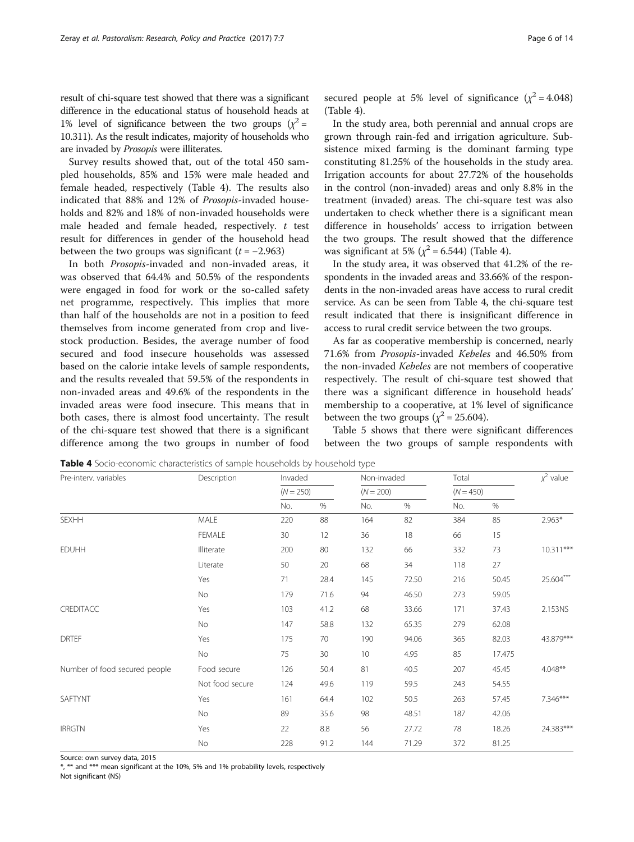result of chi-square test showed that there was a significant difference in the educational status of household heads at 1% level of significance between the two groups  $(\chi^2 =$ 10.311). As the result indicates, majority of households who are invaded by Prosopis were illiterates.

Survey results showed that, out of the total 450 sampled households, 85% and 15% were male headed and female headed, respectively (Table 4). The results also indicated that 88% and 12% of Prosopis-invaded households and 82% and 18% of non-invaded households were male headed and female headed, respectively.  $t$  test result for differences in gender of the household head between the two groups was significant  $(t = -2.963)$ 

In both Prosopis-invaded and non-invaded areas, it was observed that 64.4% and 50.5% of the respondents were engaged in food for work or the so-called safety net programme, respectively. This implies that more than half of the households are not in a position to feed themselves from income generated from crop and livestock production. Besides, the average number of food secured and food insecure households was assessed based on the calorie intake levels of sample respondents, and the results revealed that 59.5% of the respondents in non-invaded areas and 49.6% of the respondents in the invaded areas were food insecure. This means that in both cases, there is almost food uncertainty. The result of the chi-square test showed that there is a significant difference among the two groups in number of food secured people at 5% level of significance ( $\chi^2$  = 4.048) (Table 4).

In the study area, both perennial and annual crops are grown through rain-fed and irrigation agriculture. Subsistence mixed farming is the dominant farming type constituting 81.25% of the households in the study area. Irrigation accounts for about 27.72% of the households in the control (non-invaded) areas and only 8.8% in the treatment (invaded) areas. The chi-square test was also undertaken to check whether there is a significant mean difference in households' access to irrigation between the two groups. The result showed that the difference was significant at 5% ( $\chi^2$  = 6.544) (Table 4).

In the study area, it was observed that 41.2% of the respondents in the invaded areas and 33.66% of the respondents in the non-invaded areas have access to rural credit service. As can be seen from Table 4, the chi-square test result indicated that there is insignificant difference in access to rural credit service between the two groups.

As far as cooperative membership is concerned, nearly 71.6% from Prosopis-invaded Kebeles and 46.50% from the non-invaded Kebeles are not members of cooperative respectively. The result of chi-square test showed that there was a significant difference in household heads' membership to a cooperative, at 1% level of significance between the two groups ( $\chi^2$  = 25.604).

Table [5](#page-6-0) shows that there were significant differences between the two groups of sample respondents with

Table 4 Socio-economic characteristics of sample households by household type

Pre-interv. variables **Description** Invaded Non-invaded Total Total Total *Invaded* Total *Invaded* Total *Invaded* 

 $(N = 250)$   $(N = 200)$   $(N = 450)$ No. % No. % No. % SEXHH MALE 220 88 164 82 384 85 2.963\* FEMALE 30 12 36 18 66 15 EDUHH Illiterate 200 80 132 66 332 73 10.311\*\*\* Literate 50 20 68 34 118 27 Yes 71 28.4 145 72.50 216 50.45 25.604\*\*\* No 179 71.6 94 46.50 273 59.05 CREDITACC Yes 103 41.2 68 33.66 171 37.43 2.153NS No 147 58.8 132 65.35 279 62.08 DRTEF Yes 175 70 190 94.06 365 82.03 43.879\*\*\* No 75 30 10 4.95 85 17.475 Number of food secured people Food secure 126 50.4 81 40.5 207 45.45 4.048\*\* Not food secure 124 49.6 119 59.5 243 54.55 SAFTYNT Yes 161 64.4 102 50.5 263 57.45 7.346\*\*\* No 89 35.6 98 48.51 187 42.06 IRRGTN Yes 22 8.8 56 27.72 78 18.26 24.383\*\*\* No 228 91.2 144 71.29 372 81.25

Source: own survey data, 2015

\*, \*\* and \*\*\* mean significant at the 10%, 5% and 1% probability levels, respectively

Not significant (NS)

 $\chi^2$  value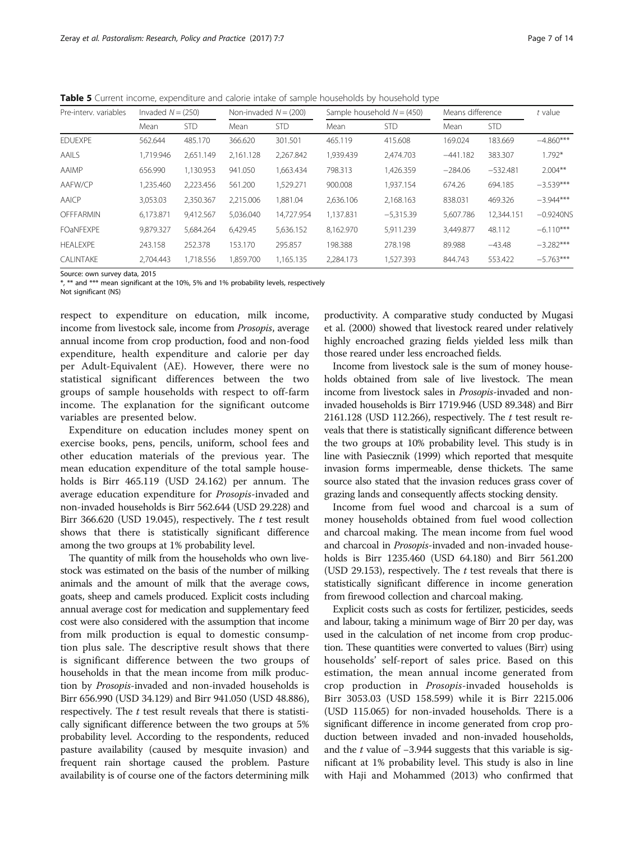<span id="page-6-0"></span>Table 5 Current income, expenditure and calorie intake of sample households by household type

| Pre-intery, variables |           | Invaded $N = (250)$ |           | Non-invaded $N = (200)$ |           | Sample household $N = (450)$ |            | Means difference |             |
|-----------------------|-----------|---------------------|-----------|-------------------------|-----------|------------------------------|------------|------------------|-------------|
|                       | Mean      | <b>STD</b>          | Mean      | <b>STD</b>              | Mean      | <b>STD</b>                   | Mean       | <b>STD</b>       |             |
| <b>EDUEXPE</b>        | 562.644   | 485,170             | 366.620   | 301.501                 | 465.119   | 415.608                      | 169.024    | 183.669          | $-4.860***$ |
| AAILS                 | 1,719.946 | 2,651.149           | 2,161.128 | 2,267.842               | 1,939.439 | 2,474.703                    | $-441.182$ | 383.307          | $1.792*$    |
| AAIMP                 | 656.990   | 130.953             | 941.050   | 1,663.434               | 798.313   | 1.426.359                    | $-284.06$  | $-532.481$       | $2.004***$  |
| AAFW/CP               | 1,235.460 | 2,223.456           | 561.200   | 1,529.271               | 900.008   | 1.937.154                    | 674.26     | 694.185          | $-3.539***$ |
| AAICP                 | 3,053.03  | 2,350.367           | 2,215.006 | 1.881.04                | 2.636.106 | 2,168.163                    | 838.031    | 469.326          | $-3.944***$ |
| <b>OFFFARMIN</b>      | 6,173.871 | 9,412.567           | 5,036.040 | 14,727.954              | 1,137.831 | $-5,315.39$                  | 5,607.786  | 12,344.151       | $-0.9240N$  |
| FOaNFEXPE             | 9.879.327 | 5.684.264           | 6,429.45  | 5,636.152               | 8.162.970 | 5,911.239                    | 3.449.877  | 48.112           | $-6.110***$ |
| <b>HEALEXPE</b>       | 243.158   | 252.378             | 153.170   | 295.857                 | 198.388   | 278.198                      | 89.988     | $-43.48$         | $-3.282***$ |
| CALINTAKE             | 2.704.443 | ,718.556            | 1.859.700 | 1,165.135               | 2.284.173 | 1.527.393                    | 844.743    | 553.422          | $-5.763***$ |

Source: own survey data, 2015

\*, \*\* and \*\*\* mean significant at the 10%, 5% and 1% probability levels, respectively

Not significant (NS)

respect to expenditure on education, milk income, income from livestock sale, income from Prosopis, average annual income from crop production, food and non-food expenditure, health expenditure and calorie per day per Adult-Equivalent (AE). However, there were no statistical significant differences between the two groups of sample households with respect to off-farm income. The explanation for the significant outcome variables are presented below.

Expenditure on education includes money spent on exercise books, pens, pencils, uniform, school fees and other education materials of the previous year. The mean education expenditure of the total sample households is Birr 465.119 (USD 24.162) per annum. The average education expenditure for Prosopis-invaded and non-invaded households is Birr 562.644 (USD 29.228) and Birr 366.620 (USD 19.045), respectively. The  $t$  test result shows that there is statistically significant difference among the two groups at 1% probability level.

The quantity of milk from the households who own livestock was estimated on the basis of the number of milking animals and the amount of milk that the average cows, goats, sheep and camels produced. Explicit costs including annual average cost for medication and supplementary feed cost were also considered with the assumption that income from milk production is equal to domestic consumption plus sale. The descriptive result shows that there is significant difference between the two groups of households in that the mean income from milk production by Prosopis-invaded and non-invaded households is Birr 656.990 (USD 34.129) and Birr 941.050 (USD 48.886), respectively. The  $t$  test result reveals that there is statistically significant difference between the two groups at 5% probability level. According to the respondents, reduced pasture availability (caused by mesquite invasion) and frequent rain shortage caused the problem. Pasture availability is of course one of the factors determining milk productivity. A comparative study conducted by Mugasi et al. ([2000](#page-13-0)) showed that livestock reared under relatively highly encroached grazing fields yielded less milk than those reared under less encroached fields.

Income from livestock sale is the sum of money households obtained from sale of live livestock. The mean income from livestock sales in Prosopis-invaded and noninvaded households is Birr 1719.946 (USD 89.348) and Birr 2161.128 (USD 112.266), respectively. The  $t$  test result reveals that there is statistically significant difference between the two groups at 10% probability level. This study is in line with Pasiecznik [\(1999](#page-13-0)) which reported that mesquite invasion forms impermeable, dense thickets. The same source also stated that the invasion reduces grass cover of grazing lands and consequently affects stocking density.

Income from fuel wood and charcoal is a sum of money households obtained from fuel wood collection and charcoal making. The mean income from fuel wood and charcoal in Prosopis-invaded and non-invaded households is Birr 1235.460 (USD 64.180) and Birr 561.200 (USD 29.153), respectively. The  $t$  test reveals that there is statistically significant difference in income generation from firewood collection and charcoal making.

Explicit costs such as costs for fertilizer, pesticides, seeds and labour, taking a minimum wage of Birr 20 per day, was used in the calculation of net income from crop production. These quantities were converted to values (Birr) using households' self-report of sales price. Based on this estimation, the mean annual income generated from crop production in Prosopis-invaded households is Birr 3053.03 (USD 158.599) while it is Birr 2215.006 (USD 115.065) for non-invaded households. There is a significant difference in income generated from crop production between invaded and non-invaded households, and the  $t$  value of  $-3.944$  suggests that this variable is significant at 1% probability level. This study is also in line with Haji and Mohammed ([2013](#page-13-0)) who confirmed that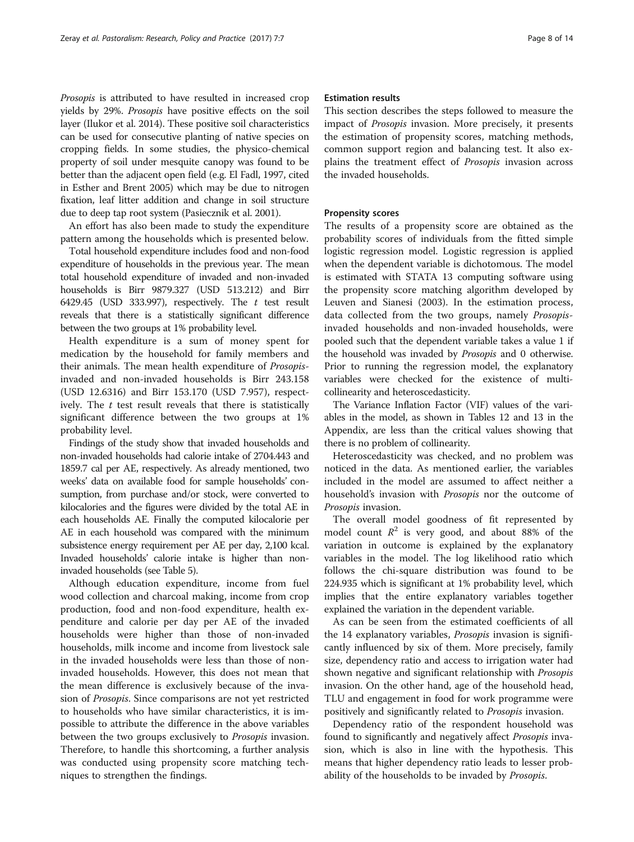Prosopis is attributed to have resulted in increased crop yields by 29%. Prosopis have positive effects on the soil layer (Ilukor et al. [2014](#page-13-0)). These positive soil characteristics can be used for consecutive planting of native species on cropping fields. In some studies, the physico-chemical property of soil under mesquite canopy was found to be better than the adjacent open field (e.g. El Fadl, 1997, cited in Esther and Brent [2005\)](#page-13-0) which may be due to nitrogen fixation, leaf litter addition and change in soil structure due to deep tap root system (Pasiecznik et al. [2001\)](#page-13-0).

An effort has also been made to study the expenditure pattern among the households which is presented below.

Total household expenditure includes food and non-food expenditure of households in the previous year. The mean total household expenditure of invaded and non-invaded households is Birr 9879.327 (USD 513.212) and Birr 6429.45 (USD 333.997), respectively. The  $t$  test result reveals that there is a statistically significant difference between the two groups at 1% probability level.

Health expenditure is a sum of money spent for medication by the household for family members and their animals. The mean health expenditure of Prosopisinvaded and non-invaded households is Birr 243.158 (USD 12.6316) and Birr 153.170 (USD 7.957), respectively. The  $t$  test result reveals that there is statistically significant difference between the two groups at 1% probability level.

Findings of the study show that invaded households and non-invaded households had calorie intake of 2704.443 and 1859.7 cal per AE, respectively. As already mentioned, two weeks' data on available food for sample households' consumption, from purchase and/or stock, were converted to kilocalories and the figures were divided by the total AE in each households AE. Finally the computed kilocalorie per AE in each household was compared with the minimum subsistence energy requirement per AE per day, 2,100 kcal. Invaded households' calorie intake is higher than noninvaded households (see Table [5](#page-6-0)).

Although education expenditure, income from fuel wood collection and charcoal making, income from crop production, food and non-food expenditure, health expenditure and calorie per day per AE of the invaded households were higher than those of non-invaded households, milk income and income from livestock sale in the invaded households were less than those of noninvaded households. However, this does not mean that the mean difference is exclusively because of the invasion of Prosopis. Since comparisons are not yet restricted to households who have similar characteristics, it is impossible to attribute the difference in the above variables between the two groups exclusively to *Prosopis* invasion. Therefore, to handle this shortcoming, a further analysis was conducted using propensity score matching techniques to strengthen the findings.

## Estimation results

This section describes the steps followed to measure the impact of Prosopis invasion. More precisely, it presents the estimation of propensity scores, matching methods, common support region and balancing test. It also explains the treatment effect of Prosopis invasion across the invaded households.

## Propensity scores

The results of a propensity score are obtained as the probability scores of individuals from the fitted simple logistic regression model. Logistic regression is applied when the dependent variable is dichotomous. The model is estimated with STATA 13 computing software using the propensity score matching algorithm developed by Leuven and Sianesi ([2003\)](#page-13-0). In the estimation process, data collected from the two groups, namely Prosopisinvaded households and non-invaded households, were pooled such that the dependent variable takes a value 1 if the household was invaded by Prosopis and 0 otherwise. Prior to running the regression model, the explanatory variables were checked for the existence of multicollinearity and heteroscedasticity.

The Variance Inflation Factor (VIF) values of the variables in the model, as shown in Tables 12 and 13 in the [Appendix,](#page-12-0) are less than the critical values showing that there is no problem of collinearity.

Heteroscedasticity was checked, and no problem was noticed in the data. As mentioned earlier, the variables included in the model are assumed to affect neither a household's invasion with Prosopis nor the outcome of Prosopis invasion.

The overall model goodness of fit represented by model count  $R^2$  is very good, and about 88% of the variation in outcome is explained by the explanatory variables in the model. The log likelihood ratio which follows the chi-square distribution was found to be 224.935 which is significant at 1% probability level, which implies that the entire explanatory variables together explained the variation in the dependent variable.

As can be seen from the estimated coefficients of all the 14 explanatory variables, Prosopis invasion is significantly influenced by six of them. More precisely, family size, dependency ratio and access to irrigation water had shown negative and significant relationship with Prosopis invasion. On the other hand, age of the household head, TLU and engagement in food for work programme were positively and significantly related to Prosopis invasion.

Dependency ratio of the respondent household was found to significantly and negatively affect *Prosopis* invasion, which is also in line with the hypothesis. This means that higher dependency ratio leads to lesser probability of the households to be invaded by *Prosopis*.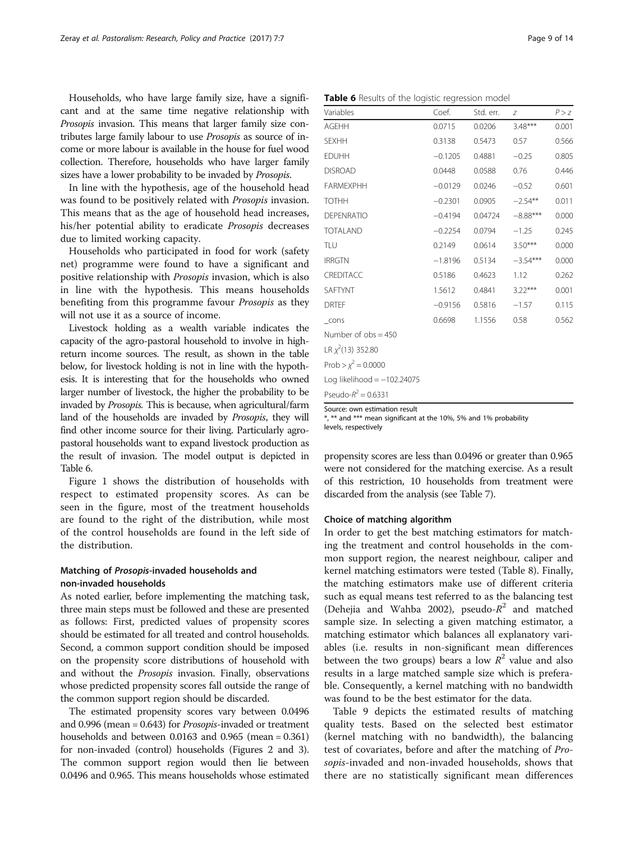Households, who have large family size, have a significant and at the same time negative relationship with Prosopis invasion. This means that larger family size contributes large family labour to use Prosopis as source of income or more labour is available in the house for fuel wood collection. Therefore, households who have larger family sizes have a lower probability to be invaded by Prosopis.

In line with the hypothesis, age of the household head was found to be positively related with Prosopis invasion. This means that as the age of household head increases, his/her potential ability to eradicate Prosopis decreases due to limited working capacity.

Households who participated in food for work (safety net) programme were found to have a significant and positive relationship with Prosopis invasion, which is also in line with the hypothesis. This means households benefiting from this programme favour Prosopis as they will not use it as a source of income.

Livestock holding as a wealth variable indicates the capacity of the agro-pastoral household to involve in highreturn income sources. The result, as shown in the table below, for livestock holding is not in line with the hypothesis. It is interesting that for the households who owned larger number of livestock, the higher the probability to be invaded by Prosopis. This is because, when agricultural/farm land of the households are invaded by Prosopis, they will find other income source for their living. Particularly agropastoral households want to expand livestock production as the result of invasion. The model output is depicted in Table 6.

Figure [1](#page-9-0) shows the distribution of households with respect to estimated propensity scores. As can be seen in the figure, most of the treatment households are found to the right of the distribution, while most of the control households are found in the left side of the distribution.

## Matching of Prosopis-invaded households and non-invaded households

As noted earlier, before implementing the matching task, three main steps must be followed and these are presented as follows: First, predicted values of propensity scores should be estimated for all treated and control households. Second, a common support condition should be imposed on the propensity score distributions of household with and without the *Prosopis* invasion. Finally, observations whose predicted propensity scores fall outside the range of the common support region should be discarded.

The estimated propensity scores vary between 0.0496 and 0.996 (mean = 0.643) for Prosopis-invaded or treatment households and between 0.0163 and 0.965 (mean = 0.361) for non-invaded (control) households (Figures [2](#page-9-0) and [3](#page-9-0)). The common support region would then lie between 0.0496 and 0.965. This means households whose estimated

Table 6 Results of the logistic regression model

| Variables                     | Coef.     | Std. err. | Z          | P > Z |
|-------------------------------|-----------|-----------|------------|-------|
| AGEHH                         | 0.0715    | 0.0206    | 3.48***    | 0.001 |
| <b>SEXHH</b>                  | 0.3138    | 0.5473    | 0.57       | 0.566 |
| <b>EDUHH</b>                  | $-0.1205$ | 0.4881    | $-0.25$    | 0.805 |
| <b>DISROAD</b>                | 0.0448    | 0.0588    | 0.76       | 0.446 |
| <b>FARMEXPHH</b>              | $-0.0129$ | 0.0246    | $-0.52$    | 0.601 |
| <b>TOTHH</b>                  | $-0.2301$ | 0.0905    | $-2.54***$ | 0.011 |
| <b>DEPENRATIO</b>             | $-0.4194$ | 0.04724   | $-8.88***$ | 0.000 |
| <b>TOTALAND</b>               | $-0.2254$ | 0.0794    | $-1.25$    | 0.245 |
| TLU                           | 0.2149    | 0.0614    | $3.50***$  | 0.000 |
| <b>IRRGTN</b>                 | $-1.8196$ | 0.5134    | $-3.54***$ | 0.000 |
| CREDITACC                     | 0.5186    | 0.4623    | 1.12       | 0.262 |
| SAFTYNT                       | 1.5612    | 0.4841    | $3.22***$  | 0.001 |
| <b>DRTEF</b>                  | $-0.9156$ | 0.5816    | $-1.57$    | 0.115 |
| cons                          | 0.6698    | 1.1556    | 0.58       | 0.562 |
| Number of $obs = 450$         |           |           |            |       |
| LR $\chi^2(13)$ 352.80        |           |           |            |       |
| Prob > $\chi^2$ = 0.0000      |           |           |            |       |
| Log likelihood = $-102.24075$ |           |           |            |       |
| Pseudo- $R^2$ = 0.6331        |           |           |            |       |
| Source: own estimation result |           |           |            |       |

\*, \*\* and \*\*\* mean significant at the 10%, 5% and 1% probability

levels, respectively

propensity scores are less than 0.0496 or greater than 0.965 were not considered for the matching exercise. As a result of this restriction, 10 households from treatment were discarded from the analysis (see Table [7\)](#page-9-0).

### Choice of matching algorithm

In order to get the best matching estimators for matching the treatment and control households in the common support region, the nearest neighbour, caliper and kernel matching estimators were tested (Table [8](#page-10-0)). Finally, the matching estimators make use of different criteria such as equal means test referred to as the balancing test (Dehejia and Wahba [2002\)](#page-13-0), pseudo- $R^2$  and matched sample size. In selecting a given matching estimator, a matching estimator which balances all explanatory variables (i.e. results in non-significant mean differences between the two groups) bears a low  $R^2$  value and also results in a large matched sample size which is preferable. Consequently, a kernel matching with no bandwidth was found to be the best estimator for the data.

Table [9](#page-10-0) depicts the estimated results of matching quality tests. Based on the selected best estimator (kernel matching with no bandwidth), the balancing test of covariates, before and after the matching of Prosopis-invaded and non-invaded households, shows that there are no statistically significant mean differences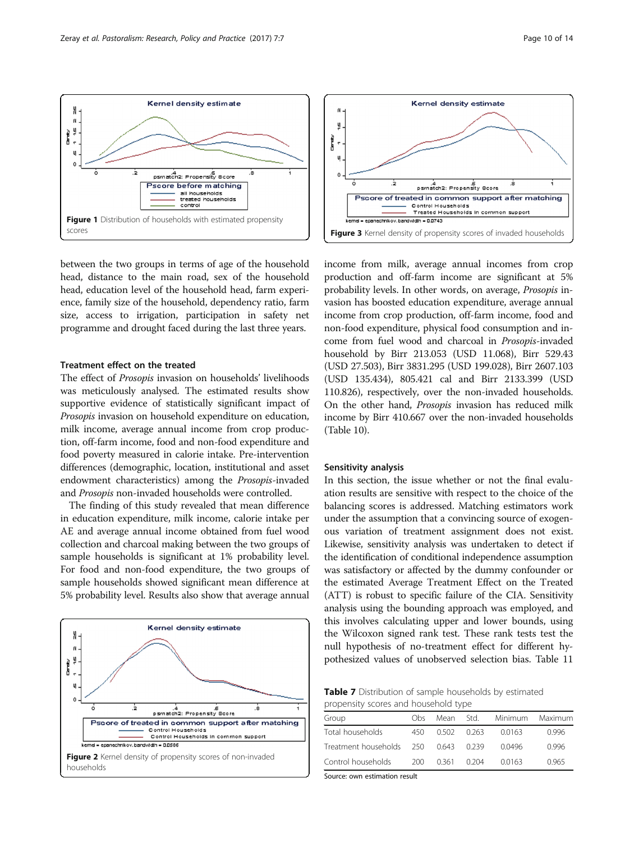between the two groups in terms of age of the household head, distance to the main road, sex of the household head, education level of the household head, farm experience, family size of the household, dependency ratio, farm size, access to irrigation, participation in safety net programme and drought faced during the last three years.

## Treatment effect on the treated

The effect of Prosopis invasion on households' livelihoods was meticulously analysed. The estimated results show supportive evidence of statistically significant impact of Prosopis invasion on household expenditure on education, milk income, average annual income from crop production, off-farm income, food and non-food expenditure and food poverty measured in calorie intake. Pre-intervention differences (demographic, location, institutional and asset endowment characteristics) among the Prosopis-invaded and Prosopis non-invaded households were controlled.

The finding of this study revealed that mean difference in education expenditure, milk income, calorie intake per AE and average annual income obtained from fuel wood collection and charcoal making between the two groups of sample households is significant at 1% probability level. For food and non-food expenditure, the two groups of sample households showed significant mean difference at 5% probability level. Results also show that average annual



income from milk, average annual incomes from crop production and off-farm income are significant at 5% probability levels. In other words, on average, Prosopis invasion has boosted education expenditure, average annual income from crop production, off-farm income, food and non-food expenditure, physical food consumption and income from fuel wood and charcoal in Prosopis-invaded household by Birr 213.053 (USD 11.068), Birr 529.43 (USD 27.503), Birr 3831.295 (USD 199.028), Birr 2607.103 (USD 135.434), 805.421 cal and Birr 2133.399 (USD 110.826), respectively, over the non-invaded households. On the other hand, Prosopis invasion has reduced milk income by Birr 410.667 over the non-invaded households (Table [10\)](#page-11-0).

#### Sensitivity analysis

In this section, the issue whether or not the final evaluation results are sensitive with respect to the choice of the balancing scores is addressed. Matching estimators work under the assumption that a convincing source of exogenous variation of treatment assignment does not exist. Likewise, sensitivity analysis was undertaken to detect if the identification of conditional independence assumption was satisfactory or affected by the dummy confounder or the estimated Average Treatment Effect on the Treated (ATT) is robust to specific failure of the CIA. Sensitivity analysis using the bounding approach was employed, and this involves calculating upper and lower bounds, using the Wilcoxon signed rank test. These rank tests test the null hypothesis of no-treatment effect for different hypothesized values of unobserved selection bias. Table [11](#page-11-0)

Table 7 Distribution of sample households by estimated propensity scores and household type

| Group                                | Obs | Mean                 | Std.  | <b>Minimum</b> | Maximum |
|--------------------------------------|-----|----------------------|-------|----------------|---------|
| Total households                     | 450 | $0.502 \qquad 0.263$ |       | 0.0163         | 0.996   |
| Treatment households 250 0.643 0.239 |     |                      |       | 00496          | 0.996   |
| Control households                   | 200 | 0.361                | 0.204 | 0.0163         | 0.965   |

Source: own estimation result

<span id="page-9-0"></span>

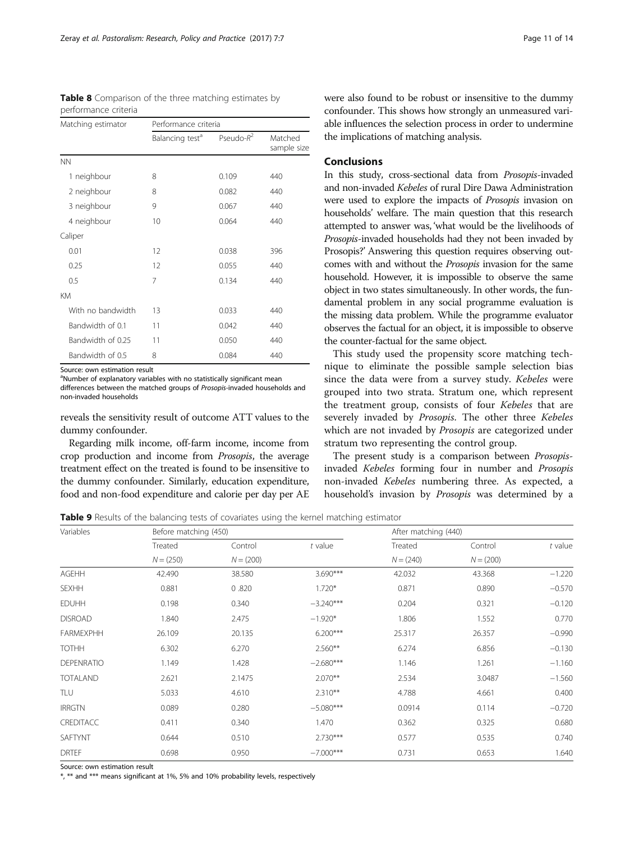<span id="page-10-0"></span>

| Table 8 Comparison of the three matching estimates by |  |  |
|-------------------------------------------------------|--|--|
| performance criteria                                  |  |  |

| Matching estimator | Performance criteria        |               |                        |  |  |  |
|--------------------|-----------------------------|---------------|------------------------|--|--|--|
|                    | Balancing test <sup>a</sup> | Pseudo- $R^2$ | Matched<br>sample size |  |  |  |
| <b>NN</b>          |                             |               |                        |  |  |  |
| 1 neighbour        | 8                           | 0.109         | 440                    |  |  |  |
| 2 neighbour        | 8                           | 0.082         | 440                    |  |  |  |
| 3 neighbour        | 9                           | 0.067         | 440                    |  |  |  |
| 4 neighbour        | 10                          | 0.064         | 440                    |  |  |  |
| Caliper            |                             |               |                        |  |  |  |
| 0.01               | 12                          | 0.038         | 396                    |  |  |  |
| 0.25               | 12                          | 0.055         | 440                    |  |  |  |
| 0.5                | 7                           | 0.134         | 440                    |  |  |  |
| <b>KM</b>          |                             |               |                        |  |  |  |
| With no bandwidth  | 13                          | 0.033         | 440                    |  |  |  |
| Bandwidth of 0.1   | 11                          | 0.042         | 440                    |  |  |  |
| Bandwidth of 0.25  | 11                          | 0.050         | 440                    |  |  |  |
| Bandwidth of 0.5   | 8                           | 0.084         | 440                    |  |  |  |

Source: own estimation result

<sup>a</sup>Number of explanatory variables with no statistically significant mean

differences between the matched groups of Prosopis-invaded households and non-invaded households

reveals the sensitivity result of outcome ATT values to the dummy confounder.

Regarding milk income, off-farm income, income from crop production and income from Prosopis, the average treatment effect on the treated is found to be insensitive to the dummy confounder. Similarly, education expenditure, food and non-food expenditure and calorie per day per AE were also found to be robust or insensitive to the dummy confounder. This shows how strongly an unmeasured variable influences the selection process in order to undermine the implications of matching analysis.

## Conclusions

In this study, cross-sectional data from Prosopis-invaded and non-invaded Kebeles of rural Dire Dawa Administration were used to explore the impacts of Prosopis invasion on households' welfare. The main question that this research attempted to answer was, 'what would be the livelihoods of Prosopis-invaded households had they not been invaded by Prosopis?' Answering this question requires observing outcomes with and without the Prosopis invasion for the same household. However, it is impossible to observe the same object in two states simultaneously. In other words, the fundamental problem in any social programme evaluation is the missing data problem. While the programme evaluator observes the factual for an object, it is impossible to observe the counter-factual for the same object.

This study used the propensity score matching technique to eliminate the possible sample selection bias since the data were from a survey study. Kebeles were grouped into two strata. Stratum one, which represent the treatment group, consists of four Kebeles that are severely invaded by Prosopis. The other three Kebeles which are not invaded by Prosopis are categorized under stratum two representing the control group.

The present study is a comparison between *Prosopis*invaded Kebeles forming four in number and Prosopis non-invaded Kebeles numbering three. As expected, a household's invasion by Prosopis was determined by a

Table 9 Results of the balancing tests of covariates using the kernel matching estimator

| Variables         | Before matching (450) |             |             | After matching (440) |             |           |  |
|-------------------|-----------------------|-------------|-------------|----------------------|-------------|-----------|--|
|                   | Treated               | Control     | $t$ value   | Treated              | Control     | $t$ value |  |
|                   | $N = (250)$           | $N = (200)$ |             | $N = (240)$          | $N = (200)$ |           |  |
| <b>AGEHH</b>      | 42.490                | 38.580      | $3.690***$  | 42.032               | 43.368      | $-1.220$  |  |
| <b>SEXHH</b>      | 0.881                 | 0.820       | $1.720*$    | 0.871                | 0.890       | $-0.570$  |  |
| <b>EDUHH</b>      | 0.198                 | 0.340       | $-3.240***$ | 0.204                | 0.321       | $-0.120$  |  |
| <b>DISROAD</b>    | 1.840                 | 2.475       | $-1.920*$   | 1.806                | 1.552       | 0.770     |  |
| <b>FARMEXPHH</b>  | 26.109                | 20.135      | $6.200***$  | 25.317               | 26.357      | $-0.990$  |  |
| <b>TOTHH</b>      | 6.302                 | 6.270       | $2.560***$  | 6.274                | 6.856       | $-0.130$  |  |
| <b>DEPENRATIO</b> | 1.149                 | 1.428       | $-2.680***$ | 1.146                | 1.261       | $-1.160$  |  |
| <b>TOTALAND</b>   | 2.621                 | 2.1475      | $2.070**$   | 2.534                | 3.0487      | $-1.560$  |  |
| TLU               | 5.033                 | 4.610       | $2.310***$  | 4.788                | 4.661       | 0.400     |  |
| <b>IRRGTN</b>     | 0.089                 | 0.280       | $-5.080***$ | 0.0914               | 0.114       | $-0.720$  |  |
| <b>CREDITACC</b>  | 0.411                 | 0.340       | 1.470       | 0.362                | 0.325       | 0.680     |  |
| SAFTYNT           | 0.644                 | 0.510       | $2.730***$  | 0.577                | 0.535       | 0.740     |  |
| <b>DRTEF</b>      | 0.698                 | 0.950       | $-7.000***$ | 0.731                | 0.653       | 1.640     |  |

Source: own estimation result

\*, \*\* and \*\*\* means significant at 1%, 5% and 10% probability levels, respectively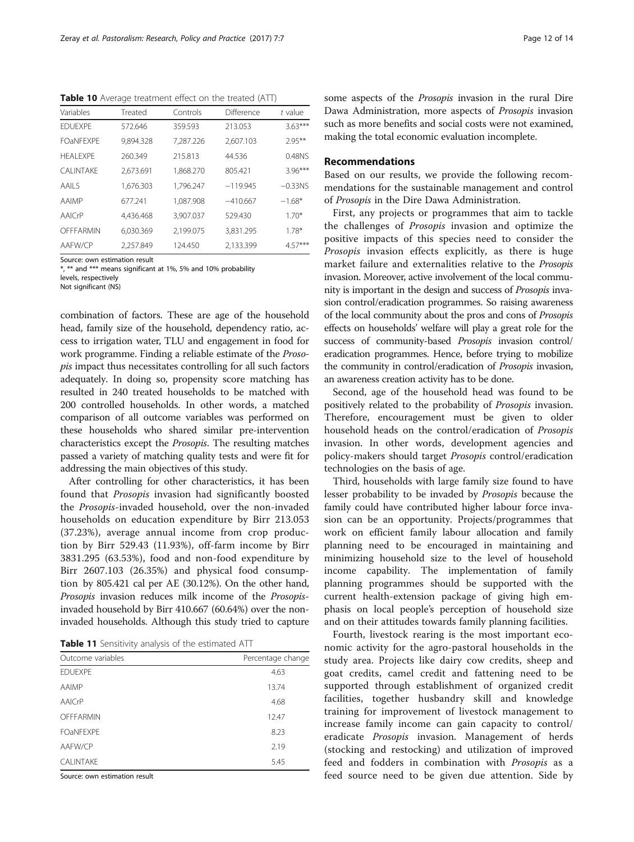<span id="page-11-0"></span>Table 10 Average treatment effect on the treated (ATT)

| Variables        | Treated   | Controls  | Difference | t value   |
|------------------|-----------|-----------|------------|-----------|
| <b>FDUFXPF</b>   | 572.646   | 359.593   | 213.053    | $3.63***$ |
| <b>FOANFFXPF</b> | 9.894.328 | 7.287.226 | 2.607.103  | $295***$  |
| <b>HFAI FXPF</b> | 260.349   | 215.813   | 44.536     | 0.48NS    |
| CAI INTAKE       | 2,673.691 | 1,868.270 | 805.421    | $3.96***$ |
| AAII S           | 1.676.303 | 1.796.247 | $-119.945$ | $-0.33NS$ |
| AAIMP            | 677.241   | 1.087.908 | $-410.667$ | $-1.68*$  |
| <b>AAICrP</b>    | 4.436.468 | 3.907.037 | 529.430    | $1.70*$   |
| OFFFARMIN        | 6,030.369 | 2.199.075 | 3.831.295  | $178*$    |
| AAFW/CP          | 2.257.849 | 124.450   | 2,133.399  | $4.57***$ |

Source: own estimation result

\*, \*\* and \*\*\* means significant at 1%, 5% and 10% probability levels, respectively

Not significant (NS)

combination of factors. These are age of the household head, family size of the household, dependency ratio, access to irrigation water, TLU and engagement in food for work programme. Finding a reliable estimate of the Prosopis impact thus necessitates controlling for all such factors adequately. In doing so, propensity score matching has resulted in 240 treated households to be matched with 200 controlled households. In other words, a matched comparison of all outcome variables was performed on these households who shared similar pre-intervention characteristics except the Prosopis. The resulting matches passed a variety of matching quality tests and were fit for addressing the main objectives of this study.

After controlling for other characteristics, it has been found that Prosopis invasion had significantly boosted the Prosopis-invaded household, over the non-invaded households on education expenditure by Birr 213.053 (37.23%), average annual income from crop production by Birr 529.43 (11.93%), off-farm income by Birr 3831.295 (63.53%), food and non-food expenditure by Birr 2607.103 (26.35%) and physical food consumption by 805.421 cal per AE (30.12%). On the other hand, Prosopis invasion reduces milk income of the Prosopisinvaded household by Birr 410.667 (60.64%) over the noninvaded households. Although this study tried to capture

Table 11 Sensitivity analysis of the estimated ATT

| Outcome variables | Percentage change |
|-------------------|-------------------|
| <b>EDUEXPE</b>    | 4.63              |
| AAIMP             | 13.74             |
| AAICrP            | 4.68              |
| <b>OFFFARMIN</b>  | 12.47             |
| <b>FOANFEXPE</b>  | 8.23              |
| AAFW/CP           | 2.19              |
| <b>CALINTAKE</b>  | 5.45              |

Source: own estimation result

some aspects of the Prosopis invasion in the rural Dire Dawa Administration, more aspects of Prosopis invasion such as more benefits and social costs were not examined, making the total economic evaluation incomplete.

## Recommendations

Based on our results, we provide the following recommendations for the sustainable management and control of Prosopis in the Dire Dawa Administration.

First, any projects or programmes that aim to tackle the challenges of Prosopis invasion and optimize the positive impacts of this species need to consider the Prosopis invasion effects explicitly, as there is huge market failure and externalities relative to the Prosopis invasion. Moreover, active involvement of the local community is important in the design and success of Prosopis invasion control/eradication programmes. So raising awareness of the local community about the pros and cons of Prosopis effects on households' welfare will play a great role for the success of community-based Prosopis invasion control/ eradication programmes. Hence, before trying to mobilize the community in control/eradication of Prosopis invasion, an awareness creation activity has to be done.

Second, age of the household head was found to be positively related to the probability of Prosopis invasion. Therefore, encouragement must be given to older household heads on the control/eradication of Prosopis invasion. In other words, development agencies and policy-makers should target Prosopis control/eradication technologies on the basis of age.

Third, households with large family size found to have lesser probability to be invaded by Prosopis because the family could have contributed higher labour force invasion can be an opportunity. Projects/programmes that work on efficient family labour allocation and family planning need to be encouraged in maintaining and minimizing household size to the level of household income capability. The implementation of family planning programmes should be supported with the current health-extension package of giving high emphasis on local people's perception of household size and on their attitudes towards family planning facilities.

Fourth, livestock rearing is the most important economic activity for the agro-pastoral households in the study area. Projects like dairy cow credits, sheep and goat credits, camel credit and fattening need to be supported through establishment of organized credit facilities, together husbandry skill and knowledge training for improvement of livestock management to increase family income can gain capacity to control/ eradicate Prosopis invasion. Management of herds (stocking and restocking) and utilization of improved feed and fodders in combination with Prosopis as a feed source need to be given due attention. Side by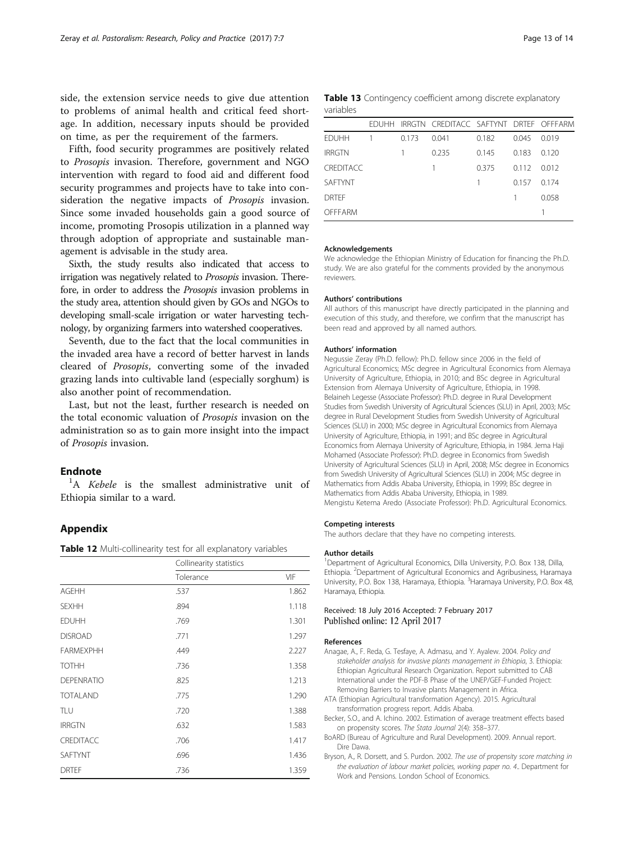<span id="page-12-0"></span>side, the extension service needs to give due attention to problems of animal health and critical feed shortage. In addition, necessary inputs should be provided on time, as per the requirement of the farmers.

Fifth, food security programmes are positively related to Prosopis invasion. Therefore, government and NGO intervention with regard to food aid and different food security programmes and projects have to take into consideration the negative impacts of Prosopis invasion. Since some invaded households gain a good source of income, promoting Prosopis utilization in a planned way through adoption of appropriate and sustainable management is advisable in the study area.

Sixth, the study results also indicated that access to irrigation was negatively related to Prosopis invasion. Therefore, in order to address the Prosopis invasion problems in the study area, attention should given by GOs and NGOs to developing small-scale irrigation or water harvesting technology, by organizing farmers into watershed cooperatives.

Seventh, due to the fact that the local communities in the invaded area have a record of better harvest in lands cleared of Prosopis, converting some of the invaded grazing lands into cultivable land (especially sorghum) is also another point of recommendation.

Last, but not the least, further research is needed on the total economic valuation of Prosopis invasion on the administration so as to gain more insight into the impact of Prosopis invasion.

## **Endnote**

 ${}^{1}$ A Kebele is the smallest administrative unit of Ethiopia similar to a ward.

## Appendix

Table 12 Multi-collinearity test for all explanatory variables

|                   | Collinearity statistics |       |  |  |
|-------------------|-------------------------|-------|--|--|
|                   | Tolerance               | VIF   |  |  |
| <b>AGEHH</b>      | .537                    | 1.862 |  |  |
| <b>SEXHH</b>      | .894                    | 1.118 |  |  |
| <b>EDUHH</b>      | .769                    | 1.301 |  |  |
| <b>DISROAD</b>    | .771                    | 1.297 |  |  |
| <b>FARMEXPHH</b>  | .449                    | 2.227 |  |  |
| <b>TOTHH</b>      | .736                    | 1.358 |  |  |
| <b>DEPENRATIO</b> | .825                    | 1.213 |  |  |
| <b>TOTALAND</b>   | .775                    | 1.290 |  |  |
| <b>TLU</b>        | .720                    | 1.388 |  |  |
| <b>IRRGTN</b>     | .632                    | 1.583 |  |  |
| CREDITACC         | .706                    | 1.417 |  |  |
| SAFTYNT           | .696                    | 1.436 |  |  |
| <b>DRTEF</b>      | .736                    | 1.359 |  |  |

|           | <b>Table 13</b> Contingency coefficient among discrete explanatory |  |  |
|-----------|--------------------------------------------------------------------|--|--|
| variables |                                                                    |  |  |

|                  |       | EDUHH IRRGTN CREDITACC SAFTYNT DRTEF OFFFARM |       |       |       |
|------------------|-------|----------------------------------------------|-------|-------|-------|
| <b>FDUHH</b>     | 0.173 | 0.041                                        | 0.182 | 0.045 | 0.019 |
| <b>IRRGTN</b>    |       | 0.235                                        | 0.145 | 0.183 | 0.120 |
| <b>CREDITACC</b> |       |                                              | 0.375 | 0.112 | 0.012 |
| SAFTYNT          |       |                                              |       | 0.157 | 0174  |
| <b>DRTFF</b>     |       |                                              |       |       | 0.058 |
| OFFFARM          |       |                                              |       |       |       |

#### Acknowledgements

We acknowledge the Ethiopian Ministry of Education for financing the Ph.D. study. We are also grateful for the comments provided by the anonymous reviewers.

#### Authors' contributions

All authors of this manuscript have directly participated in the planning and execution of this study, and therefore, we confirm that the manuscript has been read and approved by all named authors.

#### Authors' information

Negussie Zeray (Ph.D. fellow): Ph.D. fellow since 2006 in the field of Agricultural Economics; MSc degree in Agricultural Economics from Alemaya University of Agriculture, Ethiopia, in 2010; and BSc degree in Agricultural Extension from Alemaya University of Agriculture, Ethiopia, in 1998. Belaineh Legesse (Associate Professor): Ph.D. degree in Rural Development Studies from Swedish University of Agricultural Sciences (SLU) in April, 2003; MSc degree in Rural Development Studies from Swedish University of Agricultural Sciences (SLU) in 2000; MSc degree in Agricultural Economics from Alemaya University of Agriculture, Ethiopia, in 1991; and BSc degree in Agricultural Economics from Alemaya University of Agriculture, Ethiopia, in 1984. Jema Haji Mohamed (Associate Professor): Ph.D. degree in Economics from Swedish University of Agricultural Sciences (SLU) in April, 2008; MSc degree in Economics from Swedish University of Agricultural Sciences (SLU) in 2004; MSc degree in Mathematics from Addis Ababa University, Ethiopia, in 1999; BSc degree in Mathematics from Addis Ababa University, Ethiopia, in 1989. Mengistu Ketema Aredo (Associate Professor): Ph.D. Agricultural Economics.

#### Competing interests

The authors declare that they have no competing interests.

#### Author details

<sup>1</sup>Department of Agricultural Economics, Dilla University, P.O. Box 138, Dilla Ethiopia. <sup>2</sup>Department of Agricultural Economics and Agribusiness, Haramaya University, P.O. Box 138, Haramaya, Ethiopia. <sup>3</sup> Haramaya University, P.O. Box 48, Haramaya, Ethiopia.

## Received: 18 July 2016 Accepted: 7 February 2017 Published online: 12 April 2017

#### References

- Anagae, A., F. Reda, G. Tesfaye, A. Admasu, and Y. Ayalew. 2004. Policy and stakeholder analysis for invasive plants management in Ethiopia, 3. Ethiopia: Ethiopian Agricultural Research Organization. Report submitted to CAB International under the PDF-B Phase of the UNEP/GEF-Funded Project: Removing Barriers to Invasive plants Management in Africa.
- ATA (Ethiopian Agricultural transformation Agency). 2015. Agricultural transformation progress report. Addis Ababa.
- Becker, S.O., and A. Ichino. 2002. Estimation of average treatment effects based on propensity scores. The Stata Journal 2(4): 358–377.
- BoARD (Bureau of Agriculture and Rural Development). 2009. Annual report. Dire Dawa.
- Bryson, A., R. Dorsett, and S. Purdon. 2002. The use of propensity score matching in the evaluation of labour market policies, working paper no. 4.. Department for Work and Pensions. London School of Economics.